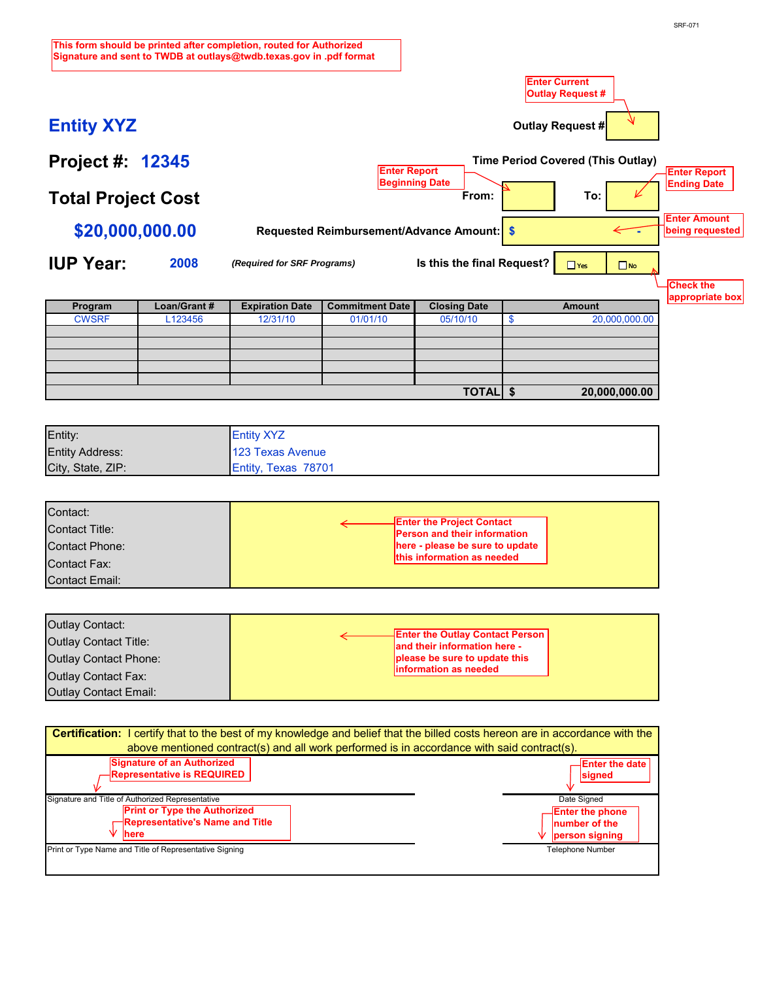| Entity:                | <b>Entity XYZ</b>          |  |
|------------------------|----------------------------|--|
| <b>Entity Address:</b> | 123 Texas Avenue           |  |
| City, State, ZIP:      | <b>Entity, Texas 78701</b> |  |

**TOTAL**

**\$ 20,000,000.00**

| Contact:<br>Contact Title: | <b>Enter the Project Contact</b>                                                              |  |
|----------------------------|-----------------------------------------------------------------------------------------------|--|
| Contact Phone:             | Person and their information<br>here - please be sure to update<br>this information as needed |  |
| Contact Fax:               |                                                                                               |  |
| Contact Email:             |                                                                                               |  |

**This form should be printed after completion, routed for Authorized Signature and sent to TWDB a[t outlays@twdb.texas.gov i](mailto:outlays@twdb.texas.gov)n .pdf format Enter Current Outlay Request #**  N **Entity XYZ Outlay Request # Project #: 12345 Time Period Covered (This Outlay) Enter Report Enter Report Beginning Date Ending Date Total Project Cost** From: **To:** To: **Enter Amount Requested Reimbursement/Advance Amount: \$20,000,000.00 \$ being requested IUP Year: 2008** *(Required for SRF Programs)* **Is this the final Request?**   $\Box$  Yes  $\Box$  No **Check the appropriate box Program Loan/Grant # Expiration Date Commitment Date Closing Date Amount** \$ 20,000,000.00 CWSRF L123456 12/31/10 01/01/10 05/10/10

| Outlay Contact:              |                                                                        |
|------------------------------|------------------------------------------------------------------------|
| Outlay Contact Title:        | <b>Enter the Outlay Contact Person</b><br>and their information here - |
| Outlay Contact Phone:        | please be sure to update this                                          |
| <b>Outlay Contact Fax:</b>   | information as needed                                                  |
| <b>Outlay Contact Email:</b> |                                                                        |

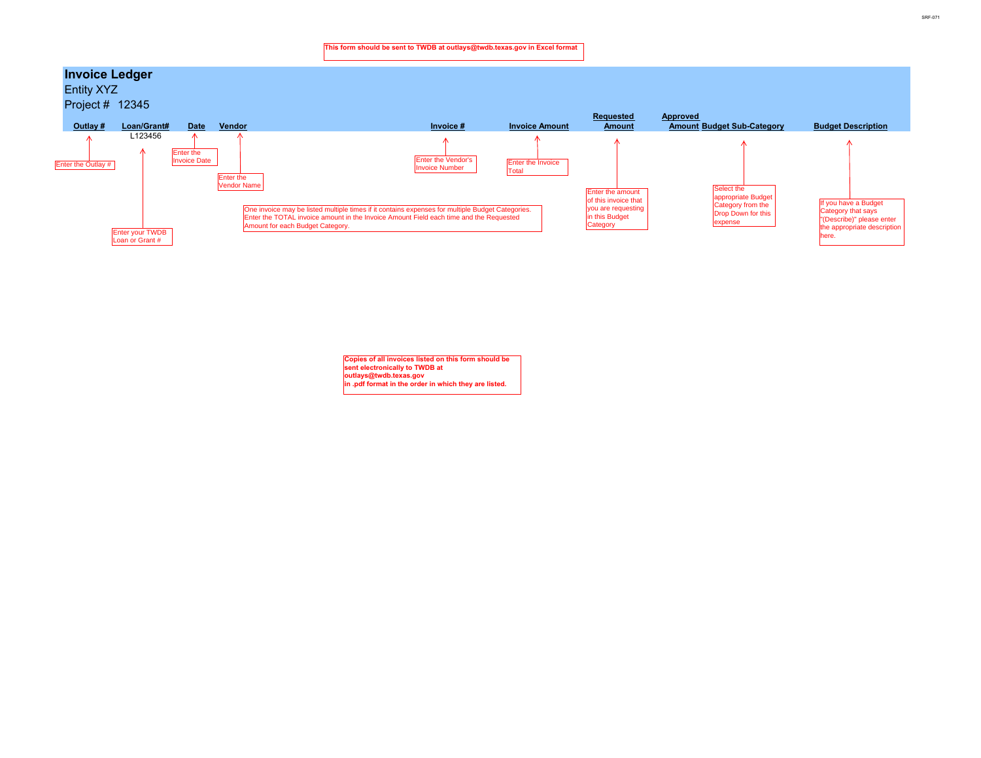

**Copies of all invoices listed on this form should be sent electronically to TWDB at outlays@twdb.texas.gov**<br>in .pdf format in the order in which they are listed.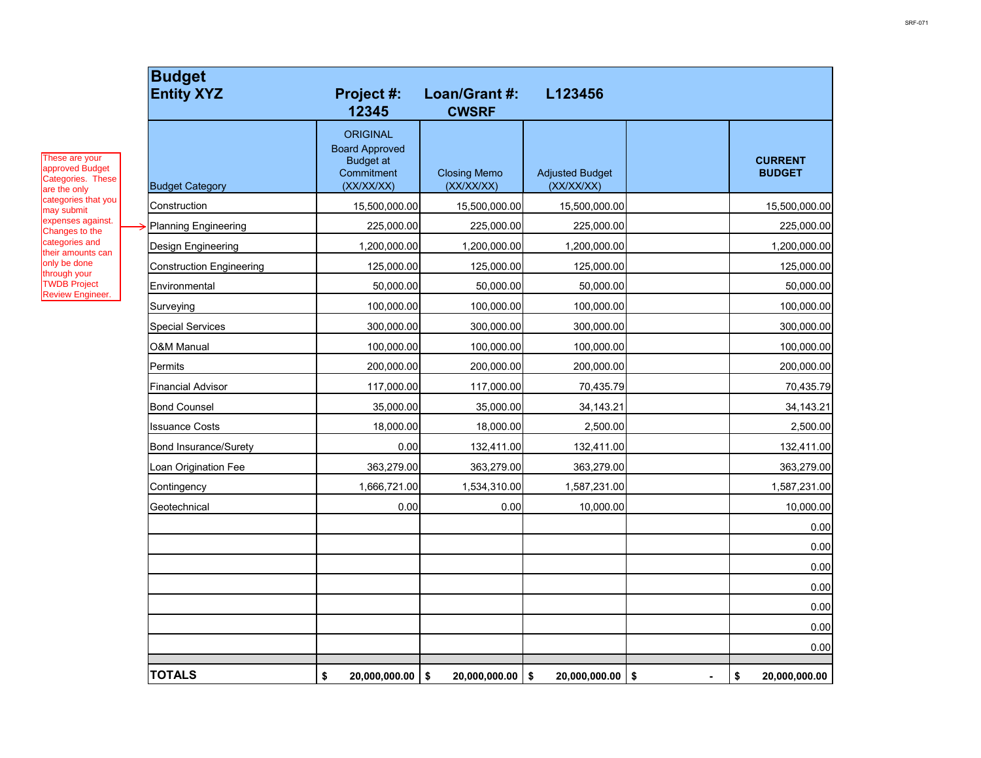| <b>Budget</b><br><b>Entity XYZ</b> | <b>Project #:</b><br>12345                                                               | Loan/Grant #:<br><b>CWSRF</b>     | L123456                              |                                             |                                 |
|------------------------------------|------------------------------------------------------------------------------------------|-----------------------------------|--------------------------------------|---------------------------------------------|---------------------------------|
| <b>Budget Category</b>             | <b>ORIGINAL</b><br><b>Board Approved</b><br><b>Budget at</b><br>Commitment<br>(XX/XX/XX) | <b>Closing Memo</b><br>(XX/XX/XX) | <b>Adjusted Budget</b><br>(XX/XX/XX) |                                             | <b>CURRENT</b><br><b>BUDGET</b> |
| Construction                       | 15,500,000.00                                                                            | 15,500,000.00                     | 15,500,000.00                        |                                             | 15,500,000.00                   |
| <b>Planning Engineering</b>        | 225,000.00                                                                               | 225,000.00                        | 225,000.00                           |                                             | 225,000.00                      |
| <b>Design Engineering</b>          | 1,200,000.00                                                                             | 1,200,000.00                      | 1,200,000.00                         |                                             | 1,200,000.00                    |
| <b>Construction Engineering</b>    | 125,000.00                                                                               | 125,000.00                        | 125,000.00                           |                                             | 125,000.00                      |
| Environmental                      | 50,000.00                                                                                | 50,000.00                         | 50,000.00                            |                                             | 50,000.00                       |
| Surveying                          | 100,000.00                                                                               | 100,000.00                        | 100,000.00                           |                                             | 100,000.00                      |
| <b>Special Services</b>            | 300,000.00                                                                               | 300,000.00                        | 300,000.00                           |                                             | 300,000.00                      |
| <b>O&amp;M Manual</b>              | 100,000.00                                                                               | 100,000.00                        | 100,000.00                           |                                             | 100,000.00                      |
| Permits                            | 200,000.00                                                                               | 200,000.00                        | 200,000.00                           |                                             | 200,000.00                      |
| <b>Financial Advisor</b>           | 117,000.00                                                                               | 117,000.00                        | 70,435.79                            |                                             | 70,435.79                       |
| <b>Bond Counsel</b>                | 35,000.00                                                                                | 35,000.00                         | 34, 143. 21                          |                                             | 34, 143. 21                     |
| <b>Issuance Costs</b>              | 18,000.00                                                                                | 18,000.00                         | 2,500.00                             |                                             | 2,500.00                        |
| <b>Bond Insurance/Surety</b>       | 0.00                                                                                     | 132,411.00                        | 132,411.00                           |                                             | 132,411.00                      |
| Loan Origination Fee               | 363,279.00                                                                               | 363,279.00                        | 363,279.00                           |                                             | 363,279.00                      |
| Contingency                        | 1,666,721.00                                                                             | 1,534,310.00                      | 1,587,231.00                         |                                             | 1,587,231.00                    |
| Geotechnical                       | 0.00                                                                                     | 0.00                              | 10,000.00                            |                                             | 10,000.00                       |
|                                    |                                                                                          |                                   |                                      |                                             | 0.00                            |
|                                    |                                                                                          |                                   |                                      |                                             | 0.00                            |
|                                    |                                                                                          |                                   |                                      |                                             | 0.00                            |
|                                    |                                                                                          |                                   |                                      |                                             | 0.00                            |
|                                    |                                                                                          |                                   |                                      |                                             | 0.00                            |
|                                    |                                                                                          |                                   |                                      |                                             | 0.00                            |
|                                    |                                                                                          |                                   |                                      |                                             | 0.00                            |
| <b>TOTALS</b>                      | \$<br>20,000,000.00                                                                      | $\sqrt{3}$<br>20,000,000.00       | 20,000,000.00<br>\$                  | $\boldsymbol{\hat{\phi}}$<br>$\blacksquare$ | \$<br>20,000,000.00             |

These are your approved Budget Categories. These are the only categories that you may submit expenses against. Changes to the categories and their amounts can only be done through your TWDB Project Review Engineer.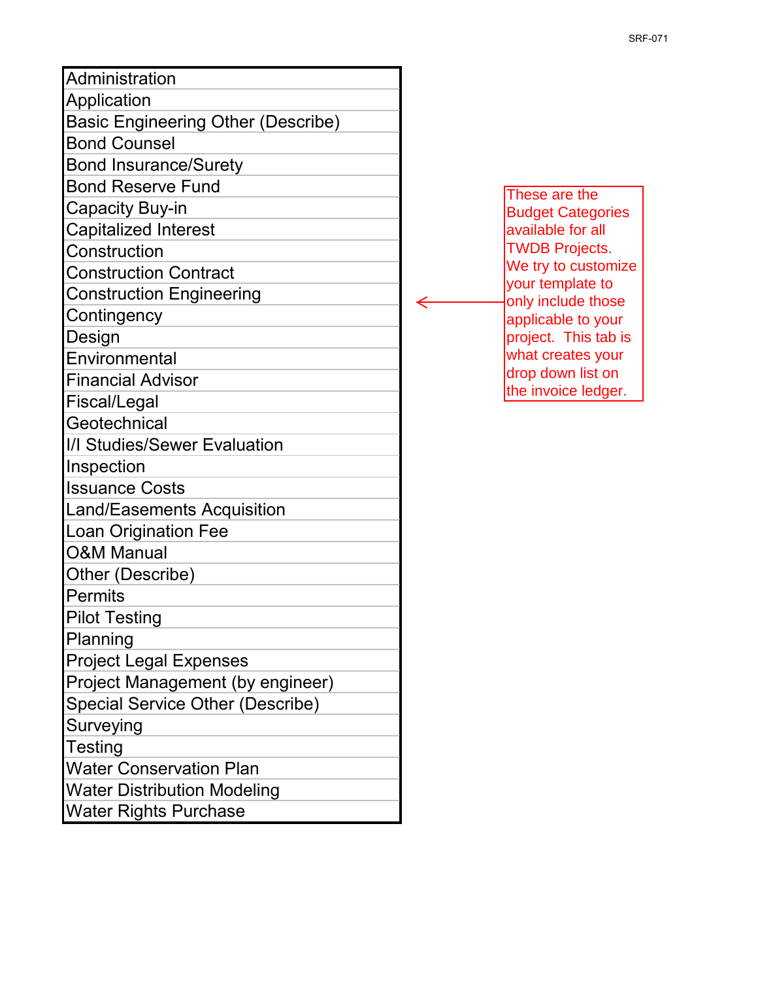| Administration                            |                                          |
|-------------------------------------------|------------------------------------------|
| Application                               |                                          |
| <b>Basic Engineering Other (Describe)</b> |                                          |
| <b>Bond Counsel</b>                       |                                          |
| <b>Bond Insurance/Surety</b>              |                                          |
| <b>Bond Reserve Fund</b>                  | These are the                            |
| <b>Capacity Buy-in</b>                    | <b>Budget Categories</b>                 |
| <b>Capitalized Interest</b>               | available for all                        |
| Construction                              | <b>TWDB Projects.</b>                    |
| <b>Construction Contract</b>              | We try to customize                      |
| <b>Construction Engineering</b>           | your template to<br>only include those   |
| Contingency                               | applicable to your                       |
| Design                                    | project. This tab is                     |
| Environmental                             | what creates your                        |
| <b>Financial Advisor</b>                  | drop down list on<br>the invoice ledger. |
| Fiscal/Legal                              |                                          |
| Geotechnical                              |                                          |
| I/I Studies/Sewer Evaluation              |                                          |
| Inspection                                |                                          |
| <b>Issuance Costs</b>                     |                                          |
| <b>Land/Easements Acquisition</b>         |                                          |
| <b>Loan Origination Fee</b>               |                                          |
| <b>O&amp;M Manual</b>                     |                                          |
| Other (Describe)                          |                                          |
| <b>Permits</b>                            |                                          |
| <b>Pilot Testing</b>                      |                                          |
| Planning                                  |                                          |
| <b>Project Legal Expenses</b>             |                                          |
| Project Management (by engineer)          |                                          |
| <b>Special Service Other (Describe)</b>   |                                          |
| Surveying                                 |                                          |
| <b>Testing</b>                            |                                          |
| <b>Water Conservation Plan</b>            |                                          |
| <b>Water Distribution Modeling</b>        |                                          |
| <b>Water Rights Purchase</b>              |                                          |